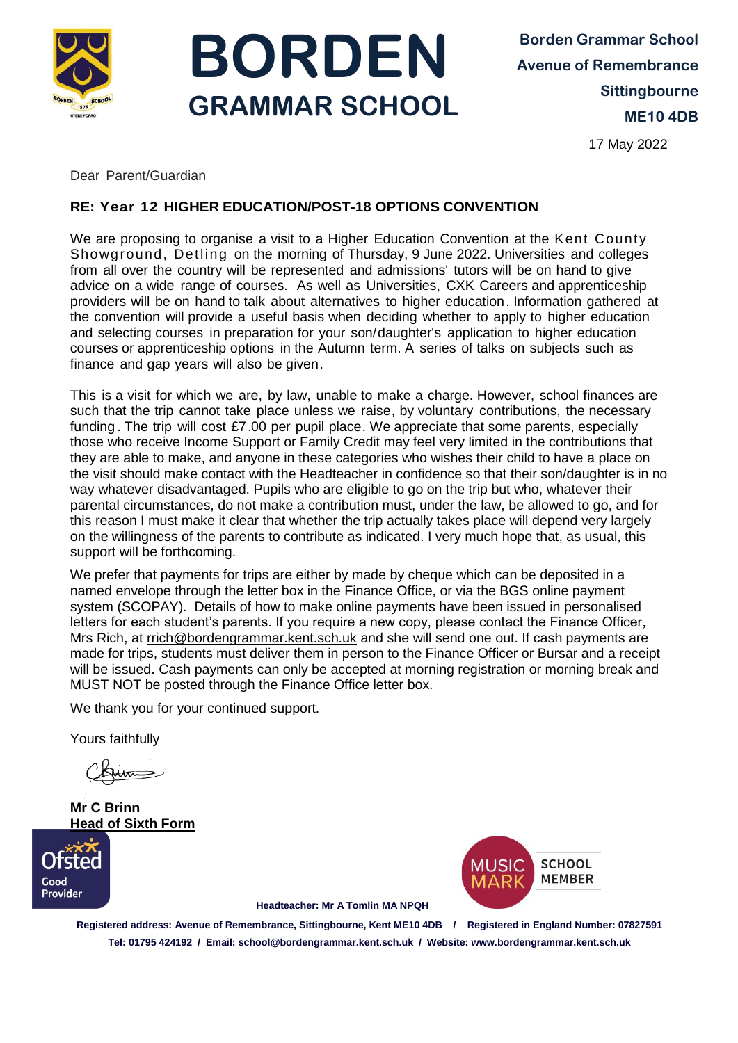



**Borden Grammar School Avenue of Remembrance Sittingbourne ME10 4DB**

17 May 2022

Dear Parent/Guardian

## **RE: Year 12 HIGHER EDUCATION/POST-18 OPTIONS CONVENTION**

We are proposing to organise a visit to a Higher Education Convention at the Kent County Showground, Detling on the morning of Thursday, 9 June 2022. Universities and colleges from all over the country will be represented and admissions' tutors will be on hand to give advice on a wide range of courses. As well as Universities, CXK Careers and apprenticeship providers will be on hand to talk about alternatives to higher education. Information gathered at the convention will provide a useful basis when deciding whether to apply to higher education and selecting courses in preparation for your son/daughter's application to higher education courses or apprenticeship options in the Autumn term. A series of talks on subjects such as finance and gap years will also be given.

This is a visit for which we are, by law, unable to make a charge. However, school finances are such that the trip cannot take place unless we raise, by voluntary contributions, the necessary funding . The trip will cost £7.00 per pupil place. We appreciate that some parents, especially those who receive Income Support or Family Credit may feel very limited in the contributions that they are able to make, and anyone in these categories who wishes their child to have a place on the visit should make contact with the Headteacher in confidence so that their son/daughter is in no way whatever disadvantaged. Pupils who are eligible to go on the trip but who, whatever their parental circumstances, do not make a contribution must, under the law, be allowed to go, and for this reason I must make it clear that whether the trip actually takes place will depend very largely on the willingness of the parents to contribute as indicated. I very much hope that, as usual, this support will be forthcoming.

We prefer that payments for trips are either by made by cheque which can be deposited in a named envelope through the letter box in the Finance Office, or via the BGS online payment system (SCOPAY). Details of how to make online payments have been issued in personalised letters for each student's parents. If you require a new copy, please contact the Finance Officer, Mrs Rich, at [rrich@bordengrammar.kent.sch.uk](mailto:rrich@bordengrammar.kent.sch.uk) and she will send one out. If cash payments are made for trips, students must deliver them in person to the Finance Officer or Bursar and a receipt will be issued. Cash payments can only be accepted at morning registration or morning break and MUST NOT be posted through the Finance Office letter box.

We thank you for your continued support.

Yours faithfully

**Mr C Brinn Head of Sixth Form**





 **Headteacher: Mr A Tomlin MA NPQH** 

**Registered address: Avenue of Remembrance, Sittingbourne, Kent ME10 4DB / Registered in England Number: 07827591 Tel: 01795 424192 / Email: school@bordengrammar.kent.sch.uk / Website: www.bordengrammar.kent.sch.uk**